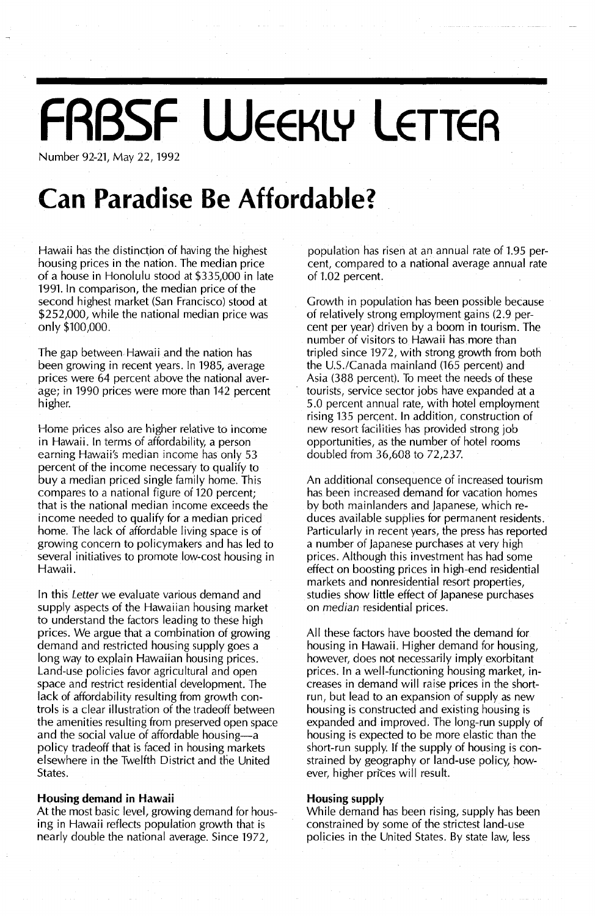## **FRBSF WEEKLY LETTER**

Number 92-21, May 22, 1992

### **Can Paradise Be Affordable?**

Hawaii has the distinction of having the highest housing prices in the nation. The median price of a house in Honolulu stood at \$335,000 in late 1991. In comparison, the median price of the second highest market (San Francisco) stood at \$252,000, while the national median price was only \$100,000.

The gap between Hawaii and the nation has been growing in recent years. In 1985, average prices were 64 percent above the national average; in 1990 prices were more than 142 percent higher.

Home prices also are higher relative to income in Hawaii. In terms of affordability, a person earning Hawaii's median income has only 53 percent of the income necessary to qualify to buy a median priced single family home. This compares to a national figure of 120 percent; that is the national median income exceeds the income needed to qualify for a median priced home. The lack of affordable living space is of growing concern to policymakers and has led to several initiatives to promote low-cost housing in Hawaii.

In this *Letter* we evaluate various demand and supply aspects of the Hawaiian housing market to understand the factors leading to these high prices. We argue that a combination of growing demand and restricted housing supply goes a long way to explain Hawaiian housing prices. Land-use policies favor agricultural and open space and restrict residential development. The lack of affordability resulting from growth controls is a clear illustration of the tradeoff between the amenities resulting from preserved open space and the social value of affordable housing-a policy tradeoff that is faced in housing markets elsewhere in the Twelfth District and die United States.

#### **Housing demand in Hawaii**

At the most basic level, growing demand for housing in Hawaii reflects population growth that is nearly double the national average. Since 1972,

population has risen at an annual rate of 1.95 percent, compared to a national average annual rate of 1.02 percent.

Growth in population has been possible because of relatively strong employment gains (2.9 percent per year) driven by a boom in tourism. The number of visitors to Hawaii has more than tripled since 1972, with strong growth from both the U.5.1Canada mainland (165 percent) and Asia (388 percent). To meet the needs of these tourists, service sector jobs have expanded at a 5.0 percent annual rate, with hotel employment rising 135 percent. In addition, construction of new resort facilities has provided strong job opportunities, as the number of hotel rooms **doubled** from 36,608 to 72,237.

An additional consequence of increased tourism has been increased demand for vacation homes by both mainlanders and Japanese, which reduces available supplies for permanent residents. Particularly in recent years, the press has reported a number of Japanese purchases at very high prices. Although this investment has had some effect on boosting prices in high-end residential markets and nonresidential resort properties, studies show little effect of Japanese purchases on *median* residential prices.

All these factors have boosted the demand for housing in Hawaii. Higher demand for housing, however, does not necessarily imply exorbitant prices. In a well-functioning housing market, increases in demand will raise prices in the shortrun, but lead to an expansion of supply as new housing is constructed and existing housing is expanded and improved. The long-run supply of housing is expected to be more elastic than the short-run supply. If the supply of housing is constrained by geography or land-use policy, however, higher prices will result.

#### **Housing supply**

While demand has been rising, supply has been constrained by some of the strictest land-use policies in the United States. By state law, less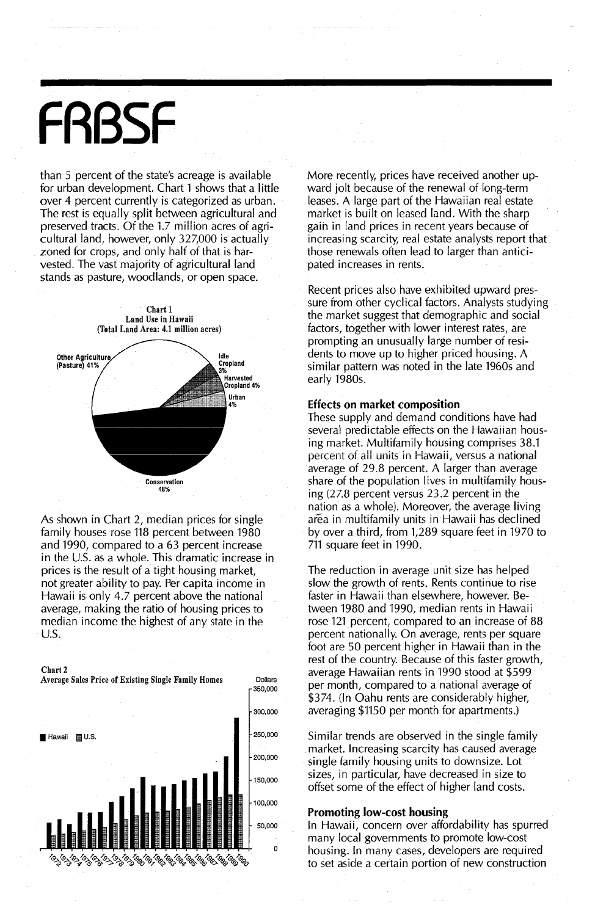# **FRBSF**

than 5 percent of the state's acreage is available for urban development. Chart 1 shows that a little over 4 percent currently is categorized as urban. The rest is equally split between agricultural and preserved tracts. Of the 1.7 million acres of agricultural land, however, only 327,000 is actually zoned for crops, and only half of that is harvested. The vast majority of agricultural land stands as pasture, woodlands, or open space.



As shown in Chart 2, median prices for single family houses rose 118 percent between 1980 and 1990, compared to a 63 percent increase in the U.S. as a whole. This dramatic increase in prices is the result of a tight housing market, not greater ability to pay. Per capita income in Hawaii is only 4.7 percent above the national average, making the ratio of housing prices to median income the highest of any state in the u.s.



Average Sales Price of Existing Single Family Homes Dollars



More recently, prices have received another upward jolt because of the renewal of long-term leases. A large part of the Hawaiian real estate market is built on leased land. With the sharp gain in land prices in recent years because of increasing scarcity, real estate analysts report that those renewals often lead to larger than anticipated increases in rents.

Recent prices also have exhibited upward pressure from other cyclical factors. Analysts studying the market suggest that demographic and social factors, together with lower interest rates, are prompting an unusually large number of residents to move up to higher priced housing. A similar pattern was noted in the late 1960s and early 1980s.

#### Effects on market composition

These supply and demand conditions have had several predictable effects on the Hawaiian housing market. Multifamily housing comprises 38.1 percent of all units in Hawaii, versus a national average of 29.8 percent. A larger than average share of the population lives in multifamily housing (27.8 percent versus 23.2 percent in the nation as a whole). Moreover, the average living area in multifamily units in Hawaii has declined by over a third, from 1,289 square feet in 1970 to 711 square feet in 1990.

The reduction in average unit size has helped slow the growth of rents. Rents continue to rise faster in Hawaii than elsewhere, however. Between 1980 and 1990, median rents in Hawaii rose 121 percent, compared to an increase of 88 percent nationally. On average, rents per square foot are 50 percent higher in Hawaii than in the rest of the country. Because of this faster growth, average Hawaiian rents in 1990 stood at \$599 per month, compared to a national average of \$374. (In Oahu rents are considerably higher, averaging \$1150 per month for apartments.)

Similar trends are observed in the single family market. Increasing scarcity has caused average single family housing units to downsize. Lot sizes, in particular, have decreased in size to offset some of the effect of higher land costs.

#### Promoting low-cost housing

In Hawaii, concern over affordability has spurred many local governments to promote low-cost housing. In many cases, developers are required to set aside a certain portion of new construction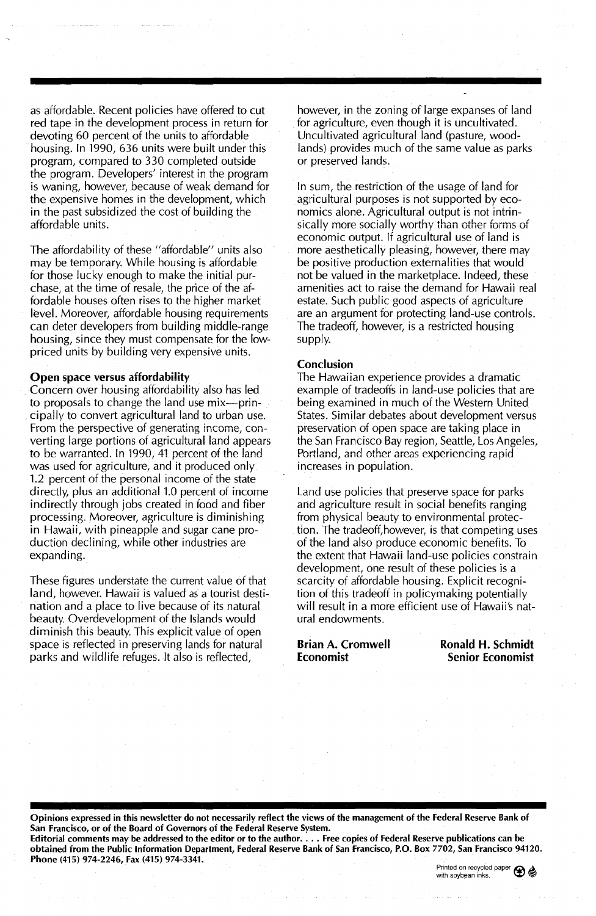as affordable. Recent policies have offered to cut red tape in the development process in return for devoting 60 percent of the units to affordable housing. In 1990, 636 units were built under this program, compared to 330 completed outside the program. Developers' interest in the program is waning, however, because of weak demand for the expensive homes in the development, which in the past subsidized the cost of building the affordable units.

The affordability of these "affordable" units also may be temporary. While housing is affordable for those lucky enough to make the initial purchase, at the time of resale, the price of the affordable houses often rises to the higher market level. Moreover, affordable housing requirements can deter developers from building middle-range housing, since they must compensate for the lowpriced units by building very expensive units.

#### Open space versus affordability

Concern over housing affordability also has led to proposals to change the land use mix-principally to convert agricultural land to urban use. From the perspective of generating income, converting large portions of agricultural land appears to be warranted. In 1990, 41 percent of the land was used for agriculture, and it produced only 1.2 percent of the personal income of the state directly, plus an additional 1.0 percent of income indirectly through jobs created in food and fiber processing. Moreover, agriculture is diminishing in Hawaii, with pineapple and sugar cane production declining, while other industries are expanding.

These figures understate the current *value* of that land, however. Hawaii is valued as a tourist destination and a place to live because of its natural beauty. *Overdevelopment* of the Islands would diminish this beauty. This explicit value of open space is reflected in preserving lands for natural parks and wildlife refuges. It also is reflected,

however, in the zoning of large expanses of land for agriculture, *even* though it is uncultivated. Uncultivated agricultural land (pasture, woodlands) provides much of the same *value* as parks or preserved lands.

In sum, the restriction of the usage of land for agricultural purposes is not supported by economics alone. Agricultural output is not intrinsically more socially worthy than other forms of economic output. If agricultural use of land is more aesthetically pleasing, however, there may be positive production externalities that would not be *valued* in the marketplace. Indeed, these amenities act to raise the demand for Hawaii real estate. Such public good aspects of agriculture are an argument for protecting land-use controls. The tradeoff, however, is a restricted housing supply.

#### Conclusion

The Hawaiian experience provides a dramatic example of tradeoffs in land-use policies that are being examined in much of the Western United States. Similar debates about development versus preservation of open space are taking place in the San Francisco Bay region, Seattle, Los Angeles, Portland, and other areas experiencing rapid increases in population.

Land use policies that preserve space for parks and agriculture result in social benefits ranging from physical beauty to environmental protection. The tradeoff,however, is that competing uses of the land also produce economic benefits. To the extent that Hawaii land-use policies constrain development, one result of these policies is a scarcity of affordable housing. Explicit recognition of this tradeoff in policymaking potentially will result in a more efficient use of Hawaii's natural endowments.

### Brian A. Cromwell Economist

Ronald H. Schmidt Senior Economist

Opinions expressed in this newsletter do not necessarily reflect the views of the management of the Federal Reserve Bank of San Francisco, or of the Board of Governors of the Federal Reserve System. Editorial comments may be addressed to the editor or to the author.... Free copies of Federal Reserve publications can be

obtained from the Public Information Department, Federal Reserve Bank of San Francisco, P.O. Box 7702, San Francisco 94120. Phone (415) 974-2246, Fax (415) 974-3341.

Printed on recycled paper  $\bigoplus$